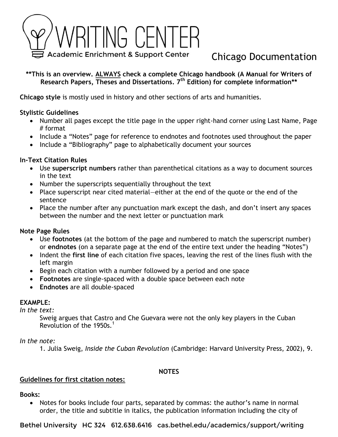

# Chicago Documentation

**\*\*This is an overview. ALWAYS check a complete Chicago handbook (A Manual for Writers of Research Papers, Theses and Dissertations. 7th Edition) for complete information\*\***

**Chicago style** is mostly used in history and other sections of arts and humanities.

## **Stylistic Guidelines**

- Number all pages except the title page in the upper right-hand corner using Last Name, Page # format
- Include a "Notes" page for reference to endnotes and footnotes used throughout the paper
- Include a "Bibliography" page to alphabetically document your sources

## **In-Text Citation Rules**

- Use **superscript numbers** rather than parenthetical citations as a way to document sources in the text
- Number the superscripts sequentially throughout the text
- Place superscript near cited material—either at the end of the quote or the end of the sentence
- Place the number after any punctuation mark except the dash, and don't insert any spaces between the number and the next letter or punctuation mark

#### **Note Page Rules**

- Use **footnotes** (at the bottom of the page and numbered to match the superscript number) or **endnotes** (on a separate page at the end of the entire text under the heading "Notes")
- Indent the **first line** of each citation five spaces, leaving the rest of the lines flush with the left margin
- Begin each citation with a number followed by a period and one space
- **Footnotes** are single-spaced with a double space between each note
- **Endnotes** are all double-spaced

#### **EXAMPLE:**

*In the text:*

Sweig argues that Castro and Che Guevara were not the only key players in the Cuban Revolution of the 1950s.<sup>1</sup>

#### *In the note:*

1. Julia Sweig, *Inside the Cuban Revolution* (Cambridge: Harvard University Press, 2002), 9.

#### **NOTES**

#### **Guidelines for first citation notes:**

**Books:** 

• Notes for books include four parts, separated by commas: the author's name in normal order, the title and subtitle in italics, the publication information including the city of

Bethel University HC 324 612.638.6416 cas.bethel.edu/academics/support/writing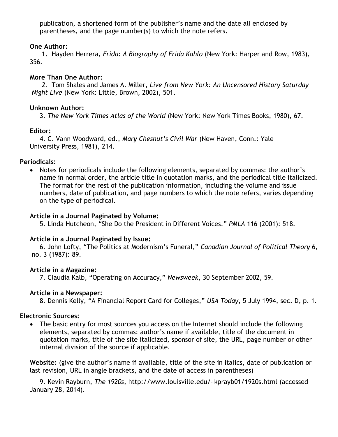publication, a shortened form of the publisher's name and the date all enclosed by parentheses, and the page number(s) to which the note refers.

## **One Author:**

1. Hayden Herrera, *Frida: A Biography of Frida Kahlo* (New York: Harper and Row, 1983), 356.

# **More Than One Author:**

*2.* Tom Shales and James A. Miller, *Live from New York: An Uncensored History Saturday Night Live* (New York: Little, Brown, 2002), 501.

# **Unknown Author:**

3. *The New York Times Atlas of the World* (New York: New York Times Books, 1980), 67.

# **Editor:**

4. C. Vann Woodward, ed., *Mary Chesnut's Civil War* (New Haven, Conn.: Yale University Press, 1981), 214.

# **Periodicals:**

• Notes for periodicals include the following elements, separated by commas: the author's name in normal order, the article title in quotation marks, and the periodical title italicized. The format for the rest of the publication information, including the volume and issue numbers, date of publication, and page numbers to which the note refers, varies depending on the type of periodical.

# **Article in a Journal Paginated by Volume:**

5. Linda Hutcheon, "She Do the President in Different Voices," *PMLA* 116 (2001): 518.

# **Article in a Journal Paginated by Issue:**

6. John Lofty, "The Politics at Modernism's Funeral," *Canadian Journal of Political Theory* 6, no. 3 (1987): 89.

# **Article in a Magazine:**

7. Claudia Kalb, "Operating on Accuracy," *Newsweek*, 30 September 2002, 59.

# **Article in a Newspaper:**

8. Dennis Kelly, "A Financial Report Card for Colleges," *USA Today*, 5 July 1994, sec. D, p. 1.

# **Electronic Sources:**

• The basic entry for most sources you access on the Internet should include the following elements, separated by commas: author's name if available, title of the document in quotation marks, title of the site italicized, sponsor of site, the URL, page number or other internal division of the source if applicable.

**Website:** (give the author's name if available, title of the site in italics, date of publication or last revision, URL in angle brackets, and the date of access in parentheses)

9. Kevin Rayburn, *The 1920s*, http://www.louisville.edu/~kprayb01/1920s.html (accessed January 28, 2014).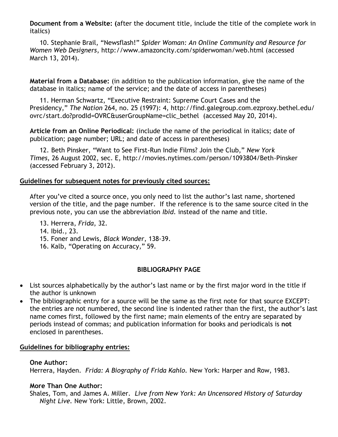**Document from a Website: (**after the document title, include the title of the complete work in italics)

10. Stephanie Brail, "Newsflash!" *Spider Woman: An Online Community and Resource for Women Web Designers*, http://www.amazoncity.com/spiderwoman/web.html (accessed March 13, 2014).

**Material from a Database:** (in addition to the publication information, give the name of the database in italics; name of the service; and the date of access in parentheses)

11. Herman Schwartz, "Executive Restraint: Supreme Court Cases and the Presidency," *The Nation* 264, no. 25 (1997): 4, http://find.galegroup.com.ezproxy.bethel.edu/ ovrc/start.do?prodId=OVRC&userGroupName=clic\_bethel (accessed May 20, 2014).

**Article from an Online Periodical:** (include the name of the periodical in italics; date of publication; page number; URL; and date of access in parentheses)

12. Beth Pinsker, "Want to See First-Run Indie Films? Join the Club," *New York Times,* 26 August 2002, sec. E, http://movies.nytimes.com/person/1093804/Beth-Pinsker (accessed February 3, 2012).

#### **Guidelines for subsequent notes for previously cited sources:**

After you've cited a source once, you only need to list the author's last name, shortened version of the title, and the page number. If the reference is to the same source cited in the previous note, you can use the abbreviation *Ibid.* instead of the name and title.

- 13. Herrera, *Frida*, 32.
- 14. Ibid., 23.
- 15. Foner and Lewis, *Black Wonder*, 138-39.
- 16. Kalb, "Operating on Accuracy," 59.

# **BIBLIOGRAPHY PAGE**

- List sources alphabetically by the author's last name or by the first major word in the title if the author is unknown
- The bibliographic entry for a source will be the same as the first note for that source EXCEPT: the entries are not numbered, the second line is indented rather than the first, the author's last name comes first, followed by the first name; main elements of the entry are separated by periods instead of commas; and publication information for books and periodicals is **not** enclosed in parentheses.

#### **Guidelines for bibliography entries:**

#### **One Author:**

Herrera, Hayden. *Frida: A Biography of Frida Kahlo.* New York: Harper and Row, 1983.

# **More Than One Author:**

Shales, Tom, and James A. Miller. *Live from New York: An Uncensored History of Saturday Night Live.* New York: Little, Brown, 2002.